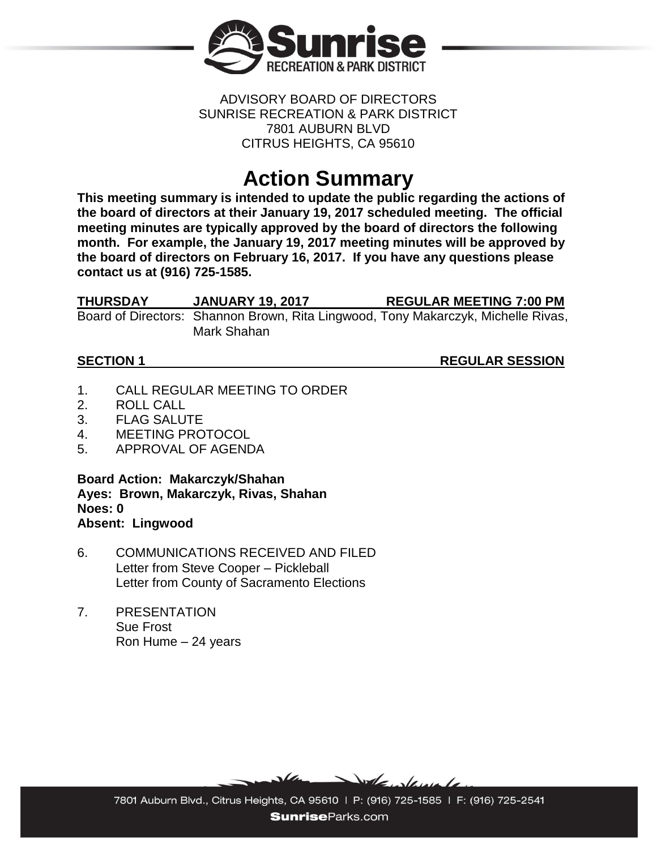

### ADVISORY BOARD OF DIRECTORS SUNRISE RECREATION & PARK DISTRICT 7801 AUBURN BLVD CITRUS HEIGHTS, CA 95610

# **Action Summary**

**This meeting summary is intended to update the public regarding the actions of the board of directors at their January 19, 2017 scheduled meeting. The official meeting minutes are typically approved by the board of directors the following month. For example, the January 19, 2017 meeting minutes will be approved by the board of directors on February 16, 2017. If you have any questions please contact us at (916) 725-1585.**

| THURSDAY | <b>JANUARY 19, 2017</b> | <b>REGULAR MEETING 7:00 PM</b>                                                    |
|----------|-------------------------|-----------------------------------------------------------------------------------|
|          |                         | Board of Directors: Shannon Brown, Rita Lingwood, Tony Makarczyk, Michelle Rivas, |
|          | Mark Shahan             |                                                                                   |

**SECTION 1** REGULAR SESSION

- 1. CALL REGULAR MEETING TO ORDER
- 2. ROLL CALL
- 3. FLAG SALUTE
- 4. MEETING PROTOCOL
- 5. APPROVAL OF AGENDA

**Board Action: Makarczyk/Shahan Ayes: Brown, Makarczyk, Rivas, Shahan Noes: 0 Absent: Lingwood**

- 6. COMMUNICATIONS RECEIVED AND FILED Letter from Steve Cooper – Pickleball Letter from County of Sacramento Elections
- 7. PRESENTATION Sue Frost Ron Hume – 24 years



7801 Auburn Blvd., Citrus Heights, CA 95610 | P: (916) 725-1585 | F: (916) 725-2541 **SunriseParks.com**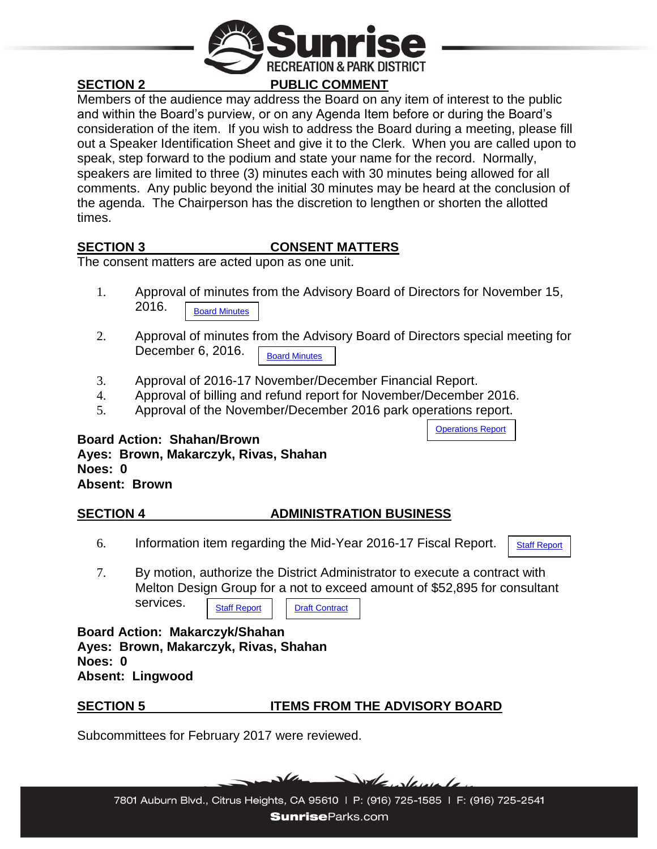

### **SECTION 2 PUBLIC COMMENT**

Members of the audience may address the Board on any item of interest to the public and within the Board's purview, or on any Agenda Item before or during the Board's consideration of the item. If you wish to address the Board during a meeting, please fill out a Speaker Identification Sheet and give it to the Clerk. When you are called upon to speak, step forward to the podium and state your name for the record. Normally, speakers are limited to three (3) minutes each with 30 minutes being allowed for all comments. Any public beyond the initial 30 minutes may be heard at the conclusion of the agenda. The Chairperson has the discretion to lengthen or shorten the allotted times.

### **SECTION 3 CONSENT MATTERS**

The consent matters are acted upon as one unit.

- 1. Approval of minutes from the Advisory Board of Directors for November 15, 2016. [Board Minutes](http://sunriseparks.com/wp-content/uploads/2017/01/Minutes-11-17-16.pdf)
- 2. Approval of minutes from the Advisory Board of Directors special meeting for December 6, 2016. [Board Minutes](http://sunriseparks.com/wp-content/uploads/2017/01/Minutes-12-6-16-Special-Meeting.pdf)
- 3. Approval of 2016-17 November/December Financial Report.
- 4. Approval of billing and refund report for November/December 2016.
- 5. Approval of the November/December 2016 park operations report.

### **Board Action: Shahan/Brown Ayes: Brown, Makarczyk, Rivas, Shahan Noes: 0 Absent: Brown**

### **SECTION 4 ADMINISTRATION BUSINESS**

6. Information item regarding the Mid-Year 2016-17 Fiscal Report.

[Staff Report](http://sunriseparks.com/wp-content/uploads/2017/01/Mid-Year-16-17-Report.pdf)

[Operations Report](http://sunriseparks.com/wp-content/uploads/2017/01/Operations-Report-November-December-2016.pdf)

7. By motion, authorize the District Administrator to execute a contract with Melton Design Group for a not to exceed amount of \$52,895 for consultant services.

[Staff Report](http://sunriseparks.com/wp-content/uploads/2017/01/Staff-Report-Award-bid-for-Consultant-Services-Foothill-Community-Park-Project.pdf) | [Draft Contract](http://sunriseparks.com/wp-content/uploads/2017/01/Foothill-Community-Park-Master-Plan-Update-Draft-Contract-Melton-Design-Group-wRM-edits.pdf)

**Board Action: Makarczyk/Shahan Ayes: Brown, Makarczyk, Rivas, Shahan Noes: 0 Absent: Lingwood**

### **SECTION 5 ITEMS FROM THE ADVISORY BOARD**

Subcommittees for February 2017 were reviewed.

 $\Delta$ de de

7801 Auburn Blvd., Citrus Heights, CA 95610 | P: (916) 725-1585 | F: (916) 725-2541 **SunriseParks.com**